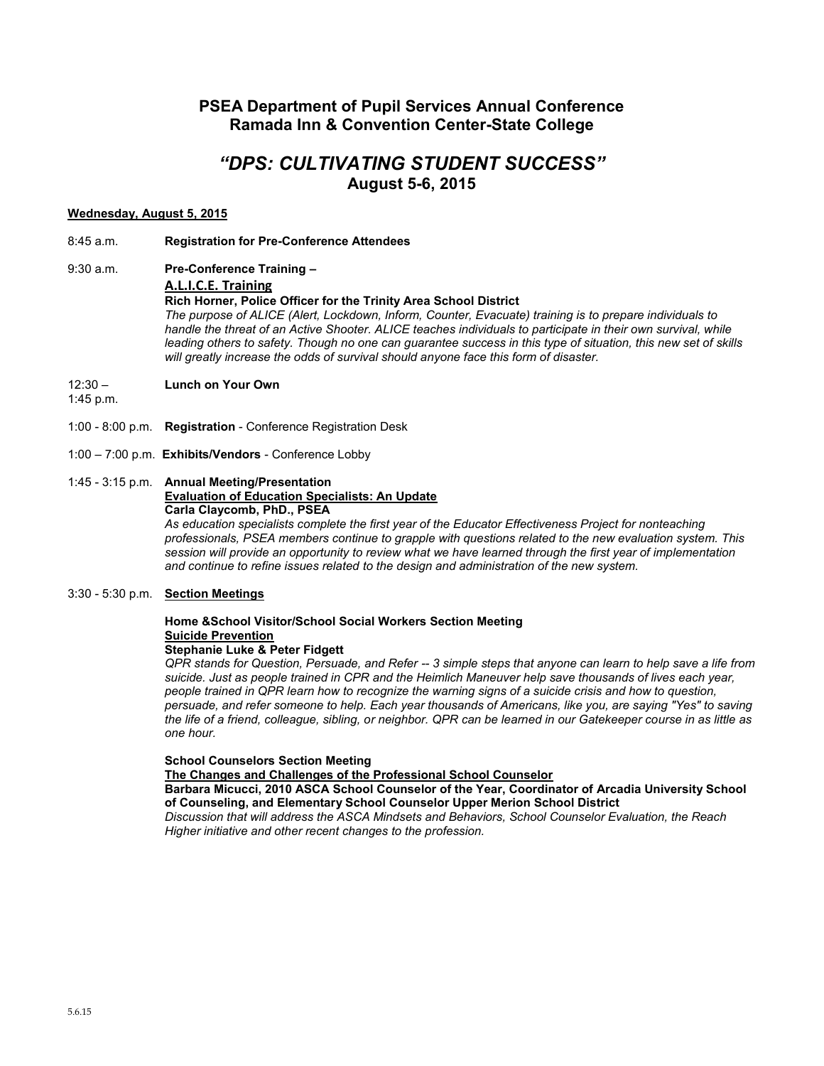# **PSEA Department of Pupil Services Annual Conference Ramada Inn & Convention Center-State College**

# *"DPS: CULTIVATING STUDENT SUCCESS"* **August 5-6, 2015**

# **Wednesday, August 5, 2015**

- 8:45 a.m. **Registration for Pre-Conference Attendees**
- 9:30 a.m. **Pre-Conference Training –**

**A.L.I.C.E. Training**

#### **Rich Horner, Police Officer for the Trinity Area School District**

*The purpose of ALICE (Alert, Lockdown, Inform, Counter, Evacuate) training is to prepare individuals to*  handle the threat of an Active Shooter. ALICE teaches individuals to participate in their own survival, while *leading others to safety. Though no one can guarantee success in this type of situation, this new set of skills will greatly increase the odds of survival should anyone face this form of disaster.* 

- 12:30 **Lunch on Your Own**
- 1:45 p.m.
- 1:00 8:00 p.m. **Registration**  Conference Registration Desk
- 1:00 7:00 p.m. **Exhibits/Vendors** Conference Lobby

# 1:45 - 3:15 p.m. **Annual Meeting/Presentation Evaluation of Education Specialists: An Update Carla Claycomb, PhD., PSEA**

*As education specialists complete the first year of the Educator Effectiveness Project for nonteaching professionals, PSEA members continue to grapple with questions related to the new evaluation system. This session will provide an opportunity to review what we have learned through the first year of implementation and continue to refine issues related to the design and administration of the new system.*

3:30 - 5:30 p.m. **Section Meetings**

# **Home &School Visitor/School Social Workers Section Meeting Suicide Prevention**

### **Stephanie Luke & Peter Fidgett**

*QPR stands for Question, Persuade, and Refer -- 3 simple steps that anyone can learn to help save a life from suicide. Just as people trained in CPR and the Heimlich Maneuver help save thousands of lives each year, people trained in QPR learn how to recognize the warning signs of a suicide crisis and how to question, persuade, and refer someone to help. Each year thousands of Americans, like you, are saying "Yes" to saving the life of a friend, colleague, sibling, or neighbor. QPR can be learned in our Gatekeeper course in as little as one hour.*

## **School Counselors Section Meeting**

**The Changes and Challenges of the Professional School Counselor**

**Barbara Micucci, 2010 ASCA School Counselor of the Year, Coordinator of Arcadia University School of Counseling, and Elementary School Counselor Upper Merion School District**

*Discussion that will address the ASCA Mindsets and Behaviors, School Counselor Evaluation, the Reach Higher initiative and other recent changes to the profession.*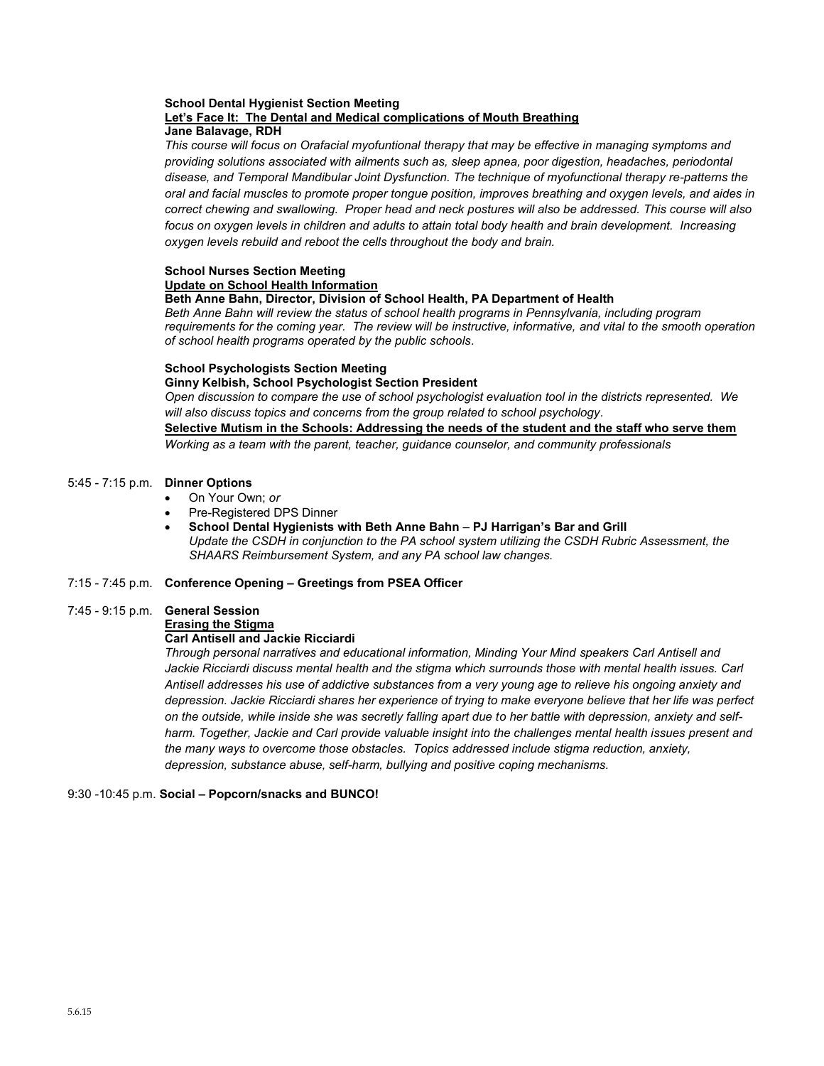#### **School Dental Hygienist Section Meeting Let's Face It: The Dental and Medical complications of Mouth Breathing Jane Balavage, RDH**

*This course will focus on Orafacial myofuntional therapy that may be effective in managing symptoms and providing solutions associated with ailments such as, sleep apnea, poor digestion, headaches, periodontal disease, and Temporal Mandibular Joint Dysfunction. The technique of myofunctional therapy re-patterns the oral and facial muscles to promote proper tongue position, improves breathing and oxygen levels, and aides in correct chewing and swallowing. Proper head and neck postures will also be addressed. This course will also focus on oxygen levels in children and adults to attain total body health and brain development. Increasing oxygen levels rebuild and reboot the cells throughout the body and brain.* 

# **School Nurses Section Meeting Update on School Health Information**

# **Beth Anne Bahn, Director, Division of School Health, PA Department of Health**

*Beth Anne Bahn will review the status of school health programs in Pennsylvania, including program requirements for the coming year. The review will be instructive, informative, and vital to the smooth operation of school health programs operated by the public schools.* 

### **School Psychologists Section Meeting**

**Ginny Kelbish, School Psychologist Section President** 

*Open discussion to compare the use of school psychologist evaluation tool in the districts represented. We will also discuss topics and concerns from the group related to school psychology.*

# **Selective Mutism in the Schools: Addressing the needs of the student and the staff who serve them**

*Working as a team with the parent, teacher, guidance counselor, and community professionals*

# 5:45 - 7:15 p.m. **Dinner Options**

- On Your Own; *or*
- Pre-Registered DPS Dinner
- **School Dental Hygienists with Beth Anne Bahn PJ Harrigan's Bar and Grill** *Update the CSDH in conjunction to the PA school system utilizing the CSDH Rubric Assessment, the SHAARS Reimbursement System, and any PA school law changes.*

# 7:15 - 7:45 p.m. **Conference Opening – Greetings from PSEA Officer**

# 7:45 - 9:15 p.m. **General Session**

**Erasing the Stigma**

# **Carl Antisell and Jackie Ricciardi**

*Through personal narratives and educational information, Minding Your Mind speakers Carl Antisell and Jackie Ricciardi discuss mental health and the stigma which surrounds those with mental health issues. Carl Antisell addresses his use of addictive substances from a very young age to relieve his ongoing anxiety and depression. Jackie Ricciardi shares her experience of trying to make everyone believe that her life was perfect on the outside, while inside she was secretly falling apart due to her battle with depression, anxiety and self*harm. Together, Jackie and Carl provide valuable insight into the challenges mental health issues present and *the many ways to overcome those obstacles. Topics addressed include stigma reduction, anxiety, depression, substance abuse, self-harm, bullying and positive coping mechanisms.*

# 9:30 -10:45 p.m. **Social – Popcorn/snacks and BUNCO!**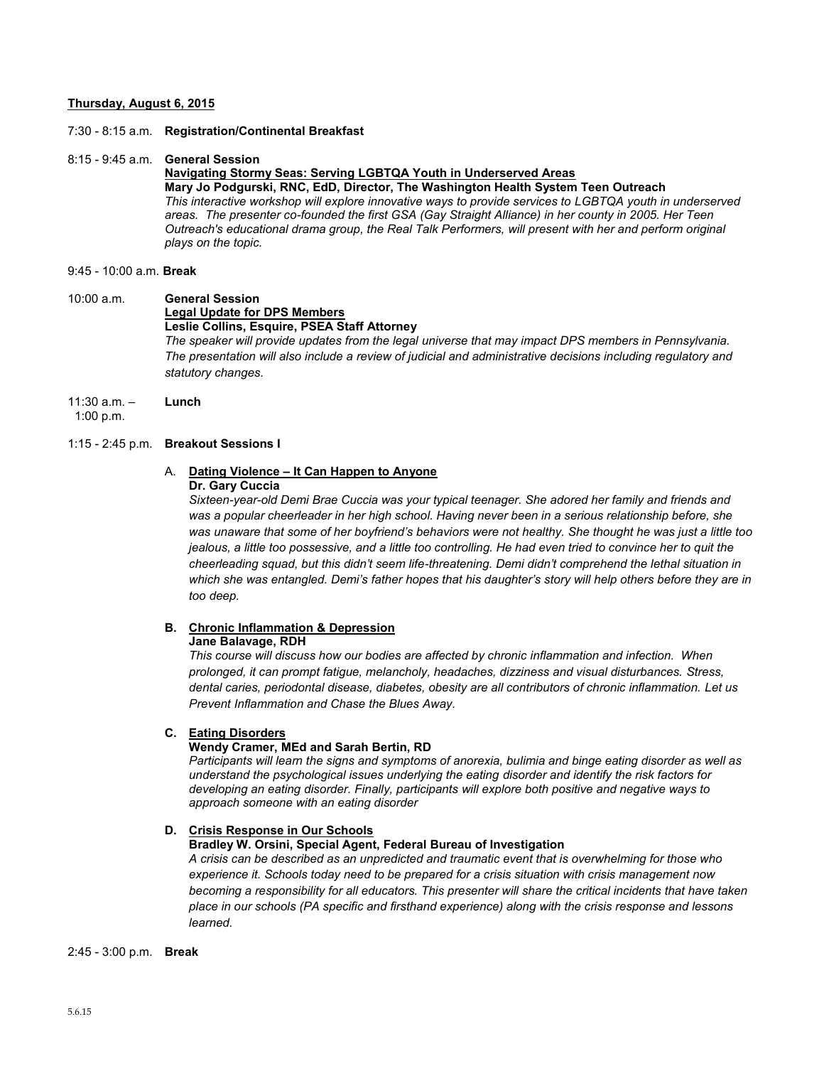## **Thursday, August 6, 2015**

7:30 - 8:15 a.m. **Registration/Continental Breakfast**

## 8:15 - 9:45 a.m. **General Session**

#### **Navigating Stormy Seas: Serving LGBTQA Youth in Underserved Areas Mary Jo Podgurski, RNC, EdD, Director, The Washington Health System Teen Outreach** *This interactive workshop will explore innovative ways to provide services to LGBTQA youth in underserved areas. The presenter co-founded the first GSA (Gay Straight Alliance) in her county in 2005. Her Teen Outreach's educational drama group, the Real Talk Performers, will present with her and perform original plays on the topic.*

### 9:45 - 10:00 a.m. **Break**

# 10:00 a.m. **General Session Legal Update for DPS Members Leslie Collins, Esquire, PSEA Staff Attorney**

*The speaker will provide updates from the legal universe that may impact DPS members in Pennsylvania. The presentation will also include a review of judicial and administrative decisions including regulatory and statutory changes.*

11:30 a.m. – **Lunch**

1:00 p.m.

# 1:15 - 2:45 p.m. **Breakout Sessions I**

# A. **Dating Violence – It Can Happen to Anyone**

# **Dr. Gary Cuccia**

*Sixteen-year-old Demi Brae Cuccia was your typical teenager. She adored her family and friends and was a popular cheerleader in her high school. Having never been in a serious relationship before, she was unaware that some of her boyfriend's behaviors were not healthy. She thought he was just a little too jealous, a little too possessive, and a little too controlling. He had even tried to convince her to quit the cheerleading squad, but this didn't seem life-threatening. Demi didn't comprehend the lethal situation in which she was entangled. Demi's father hopes that his daughter's story will help others before they are in too deep.*

## **B. Chronic Inflammation & Depression**

#### **Jane Balavage, RDH**

*This course will discuss how our bodies are affected by chronic inflammation and infection. When prolonged, it can prompt fatigue, melancholy, headaches, dizziness and visual disturbances. Stress, dental caries, periodontal disease, diabetes, obesity are all contributors of chronic inflammation. Let us Prevent Inflammation and Chase the Blues Away.*

# **C. Eating Disorders**

## **Wendy Cramer, MEd and Sarah Bertin, RD**

*Participants will learn the signs and symptoms of anorexia, bulimia and binge eating disorder as well as understand the psychological issues underlying the eating disorder and identify the risk factors for developing an eating disorder. Finally, participants will explore both positive and negative ways to approach someone with an eating disorder*

### **D. Crisis Response in Our Schools**

# **Bradley W. Orsini, Special Agent, Federal Bureau of Investigation**

*A crisis can be described as an unpredicted and traumatic event that is overwhelming for those who experience it. Schools today need to be prepared for a crisis situation with crisis management now becoming a responsibility for all educators. This presenter will share the critical incidents that have taken place in our schools (PA specific and firsthand experience) along with the crisis response and lessons learned.*

#### 2:45 - 3:00 p.m. **Break**